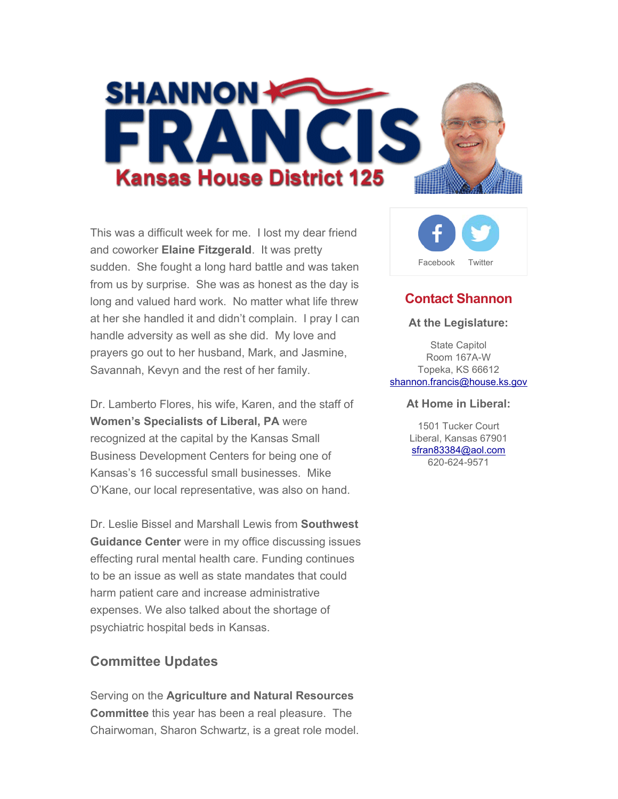

This was a difficult week for me. I lost my dear friend and coworker **Elaine Fitzgerald**. It was pretty sudden. She fought a long hard battle and was taken from us by surprise. She was as honest as the day is long and valued hard work. No matter what life threw at her she handled it and didn't complain. I pray I can handle adversity as well as she did. My love and prayers go out to her husband, Mark, and Jasmine, Savannah, Kevyn and the rest of her family.

Dr. Lamberto Flores, his wife, Karen, and the staff of **Women's Specialists of Liberal, PA** were recognized at the capital by the Kansas Small Business Development Centers for being one of Kansas's 16 successful small businesses. Mike O'Kane, our local representative, was also on hand.

Dr. Leslie Bissel and Marshall Lewis from **Southwest Guidance Center** were in my office discussing issues effecting rural mental health care. Funding continues to be an issue as well as state mandates that could harm patient care and increase administrative expenses. We also talked about the shortage of psychiatric hospital beds in Kansas.

## **Committee Updates**

Serving on the **Agriculture and Natural Resources Committee** this year has been a real pleasure. The Chairwoman, Sharon Schwartz, is a great role model.



## **Contact Shannon**

#### **At the Legislature:**

State Capitol Room 167A-W Topeka, KS 66612 shannon.francis@house.ks.gov

#### **At Home in Liberal:**

1501 Tucker Court Liberal, Kansas 67901 sfran83384@aol.com 620-624-9571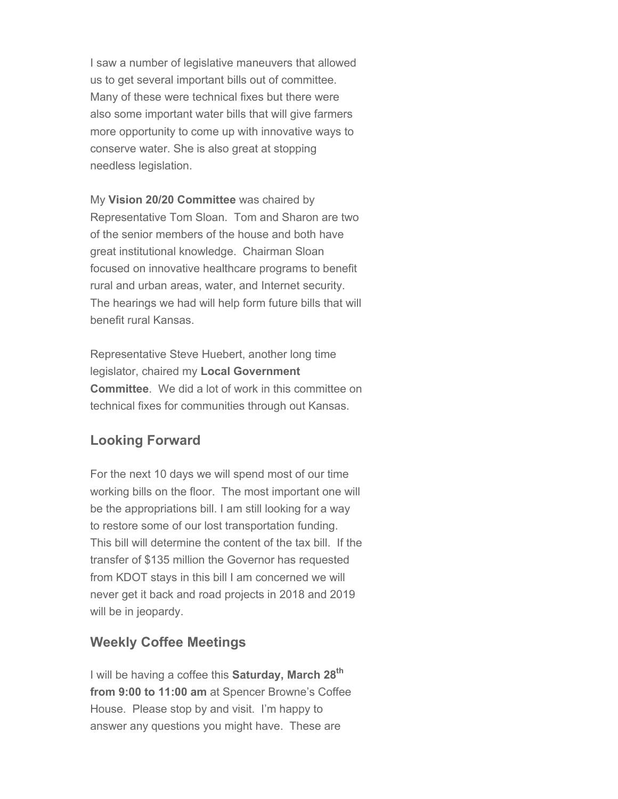I saw a number of legislative maneuvers that allowed us to get several important bills out of committee. Many of these were technical fixes but there were also some important water bills that will give farmers more opportunity to come up with innovative ways to conserve water. She is also great at stopping needless legislation.

My **Vision 20/20 Committee** was chaired by Representative Tom Sloan. Tom and Sharon are two of the senior members of the house and both have great institutional knowledge. Chairman Sloan focused on innovative healthcare programs to benefit rural and urban areas, water, and Internet security. The hearings we had will help form future bills that will benefit rural Kansas.

Representative Steve Huebert, another long time legislator, chaired my **Local Government Committee**. We did a lot of work in this committee on technical fixes for communities through out Kansas.

## **Looking Forward**

For the next 10 days we will spend most of our time working bills on the floor. The most important one will be the appropriations bill. I am still looking for a way to restore some of our lost transportation funding. This bill will determine the content of the tax bill. If the transfer of \$135 million the Governor has requested from KDOT stays in this bill I am concerned we will never get it back and road projects in 2018 and 2019 will be in jeopardy.

## **Weekly Coffee Meetings**

I will be having a coffee this **Saturday, March 28th from 9:00 to 11:00 am** at Spencer Browne's Coffee House. Please stop by and visit. I'm happy to answer any questions you might have. These are